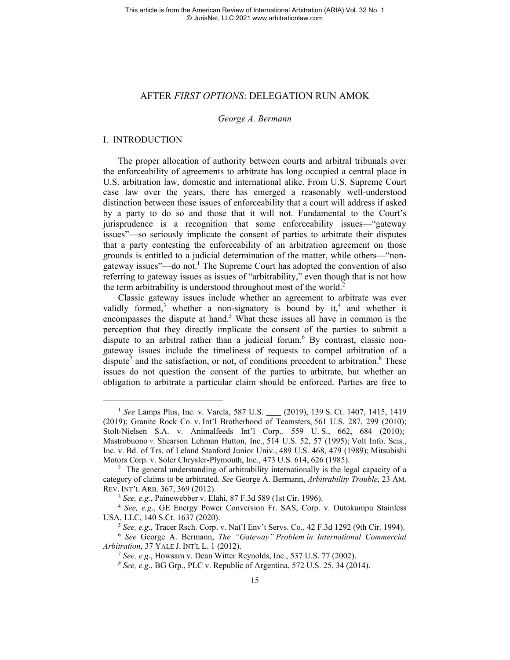# AFTER *FIRST OPTIONS*: DELEGATION RUN AMOK

## *George A. Bermann*

# I. INTRODUCTION

The proper allocation of authority between courts and arbitral tribunals over the enforceability of agreements to arbitrate has long occupied a central place in U.S. arbitration law, domestic and international alike. From U.S. Supreme Court case law over the years, there has emerged a reasonably well-understood distinction between those issues of enforceability that a court will address if asked by a party to do so and those that it will not. Fundamental to the Court's jurisprudence is a recognition that some enforceability issues—"gateway issues"—so seriously implicate the consent of parties to arbitrate their disputes that a party contesting the enforceability of an arbitration agreement on those grounds is entitled to a judicial determination of the matter, while others—"nongateway issues"—do not.<sup>1</sup> The Supreme Court has adopted the convention of also referring to gateway issues as issues of "arbitrability," even though that is not how the term arbitrability is understood throughout most of the world.<sup>2</sup>

Classic gateway issues include whether an agreement to arbitrate was ever validly formed,<sup>3</sup> whether a non-signatory is bound by it,<sup>4</sup> and whether it encompasses the dispute at hand.<sup>5</sup> What these issues all have in common is the perception that they directly implicate the consent of the parties to submit a dispute to an arbitral rather than a judicial forum.<sup>6</sup> By contrast, classic nongateway issues include the timeliness of requests to compel arbitration of a dispute<sup>7</sup> and the satisfaction, or not, of conditions precedent to arbitration.<sup>8</sup> These issues do not question the consent of the parties to arbitrate, but whether an obligation to arbitrate a particular claim should be enforced. Parties are free to

<sup>1</sup> *See* Lamps Plus, Inc. v. Varela, 587 U.S. \_\_\_ (2019), 139 S. Ct. 1407, 1415, 1419 (2019); Granite Rock Co. v. Int'l Brotherhood of Teamsters, 561 U.S. 287, 299 (2010); Stolt-Nielsen S.A. v. Animalfeeds Int'l Corp.*,* 559 U. S., 662, 684 (2010); Mastrobuono *v.* Shearson Lehman Hutton, Inc., 514 U.S. 52, 57 (1995); Volt Info. Scis., Inc. v. Bd. of Trs. of Leland Stanford Junior Univ., 489 U.S. 468, 479 (1989); Mitsubishi Motors Corp. v. Soler Chrysler-Plymouth, Inc., 473 U.S. 614, 626 (1985). 2

 $2\degree$  The general understanding of arbitrability internationally is the legal capacity of a category of claims to be arbitrated. *See* George A. Bermann, *Arbitrability Trouble*, 23 AM. REV. INT'L ARB. 367, 369 (2012).<br><sup>3</sup> *See, e.g.*, Painewebber v. Elahi, 87 F.3d 589 (1st Cir. 1996).<br><sup>4</sup> *See, e.g.*, GE Energy Power Conversion Fr. SAS, Corp. v. Outokumpu Stainless

USA, LLC, 140 S.Ct. 1637 (2020). 5 *See, e.g*., Tracer Rsch. Corp. v. Nat'l Env't Servs. Co., 42 F.3d 1292 (9th Cir. 1994). 6 *See* George A. Bermann, *The "Gateway" Problem in International Commercial* 

*Arbitration*, 37 YALE J. INT'L L. 1 (2012).<br><sup>7</sup> *See, e.g.*, Howsam v. Dean Witter Reynolds, Inc., 537 U.S. 77 (2002).

*<sup>8</sup> See, e.g*., BG Grp., PLC v. Republic of Argentina, 572 U.S. 25, 34 (2014).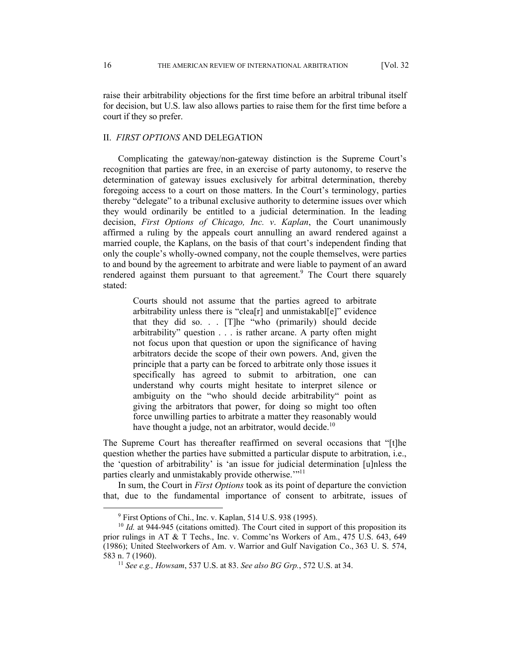raise their arbitrability objections for the first time before an arbitral tribunal itself for decision, but U.S. law also allows parties to raise them for the first time before a court if they so prefer.

# II. *FIRST OPTIONS* AND DELEGATION

Complicating the gateway/non-gateway distinction is the Supreme Court's recognition that parties are free, in an exercise of party autonomy, to reserve the determination of gateway issues exclusively for arbitral determination, thereby foregoing access to a court on those matters. In the Court's terminology, parties thereby "delegate" to a tribunal exclusive authority to determine issues over which they would ordinarily be entitled to a judicial determination. In the leading decision, *First Options of Chicago, Inc. v*. *Kaplan*, the Court unanimously affirmed a ruling by the appeals court annulling an award rendered against a married couple, the Kaplans, on the basis of that court's independent finding that only the couple's wholly-owned company, not the couple themselves, were parties to and bound by the agreement to arbitrate and were liable to payment of an award rendered against them pursuant to that agreement.<sup>9</sup> The Court there squarely stated:

Courts should not assume that the parties agreed to arbitrate arbitrability unless there is "clea<sup>[r]</sup> and unmistakabl<sup>[e]</sup>" evidence that they did so. . . [T]he "who (primarily) should decide arbitrability" question . . . is rather arcane. A party often might not focus upon that question or upon the significance of having arbitrators decide the scope of their own powers. And, given the principle that a party can be forced to arbitrate only those issues it specifically has agreed to submit to arbitration, one can understand why courts might hesitate to interpret silence or ambiguity on the "who should decide arbitrability" point as giving the arbitrators that power, for doing so might too often force unwilling parties to arbitrate a matter they reasonably would have thought a judge, not an arbitrator, would decide.<sup>10</sup>

The Supreme Court has thereafter reaffirmed on several occasions that "[t]he question whether the parties have submitted a particular dispute to arbitration, i.e., the 'question of arbitrability' is 'an issue for judicial determination [u]nless the parties clearly and unmistakably provide otherwise."<sup>11</sup>

In sum, the Court in *First Options* took as its point of departure the conviction that, due to the fundamental importance of consent to arbitrate, issues of

<sup>&</sup>lt;sup>9</sup> First Options of Chi., Inc. v. Kaplan, 514 U.S. 938 (1995).

<sup>&</sup>lt;sup>10</sup> *Id.* at 944-945 (citations omitted). The Court cited in support of this proposition its prior rulings in AT & T Techs., Inc. v. Commc'ns Workers of Am., 475 U.S. 643, 649 (1986); United Steelworkers of Am. v. Warrior and Gulf Navigation Co., 363 U. S. 574, 583 n. 7 (1960). 11 *See e.g., Howsam*, 537 U.S. at 83. *See also BG Grp.*, 572 U.S. at 34.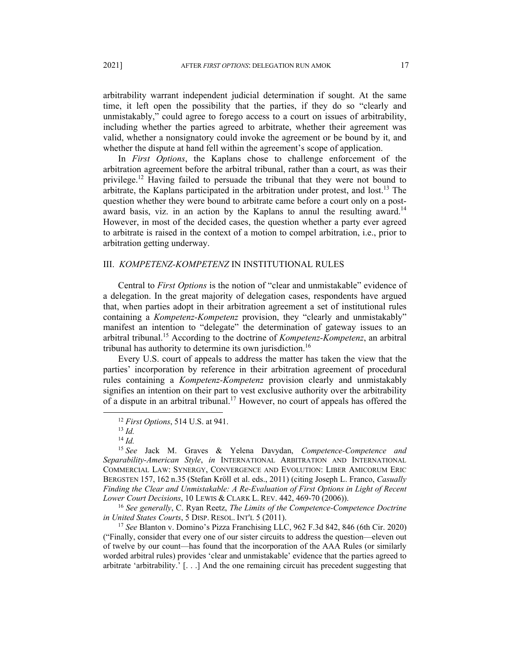arbitrability warrant independent judicial determination if sought. At the same time, it left open the possibility that the parties, if they do so "clearly and unmistakably," could agree to forego access to a court on issues of arbitrability, including whether the parties agreed to arbitrate, whether their agreement was valid, whether a nonsignatory could invoke the agreement or be bound by it, and whether the dispute at hand fell within the agreement's scope of application.

In *First Options*, the Kaplans chose to challenge enforcement of the arbitration agreement before the arbitral tribunal, rather than a court, as was their privilege.<sup>12</sup> Having failed to persuade the tribunal that they were not bound to arbitrate, the Kaplans participated in the arbitration under protest, and lost.<sup>13</sup> The question whether they were bound to arbitrate came before a court only on a postaward basis, viz. in an action by the Kaplans to annul the resulting award.<sup>14</sup> However, in most of the decided cases, the question whether a party ever agreed to arbitrate is raised in the context of a motion to compel arbitration, i.e., prior to arbitration getting underway.

## III. *KOMPETENZ-KOMPETENZ* IN INSTITUTIONAL RULES

Central to *First Options* is the notion of "clear and unmistakable" evidence of a delegation. In the great majority of delegation cases, respondents have argued that, when parties adopt in their arbitration agreement a set of institutional rules containing a *Kompetenz-Kompetenz* provision, they "clearly and unmistakably" manifest an intention to "delegate" the determination of gateway issues to an arbitral tribunal.15 According to the doctrine of *Kompetenz-Kompetenz*, an arbitral tribunal has authority to determine its own jurisdiction.<sup>16</sup>

Every U.S. court of appeals to address the matter has taken the view that the parties' incorporation by reference in their arbitration agreement of procedural rules containing a *Kompetenz-Kompetenz* provision clearly and unmistakably signifies an intention on their part to vest exclusive authority over the arbitrability of a dispute in an arbitral tribunal.17 However, no court of appeals has offered the

 $^{14}$  *Id.* 

*in United States Courts*, 5 DISP. RESOL. INT'L 5 (2011).<br><sup>17</sup> *See* Blanton v. Domino's Pizza Franchising LLC, 962 F.3d 842, 846 (6th Cir. 2020)

("Finally, consider that every one of our sister circuits to address the question—eleven out of twelve by our count—has found that the incorporation of the AAA Rules (or similarly worded arbitral rules) provides 'clear and unmistakable' evidence that the parties agreed to arbitrate 'arbitrability.' [. . .] And the one remaining circuit has precedent suggesting that

<sup>12</sup> *First Options*, 514 U.S. at 941. 13 *Id.* 

<sup>15</sup> *See* Jack M. Graves & Yelena Davydan, *Competence-Competence and Separability-American Style*, *in* INTERNATIONAL ARBITRATION AND INTERNATIONAL COMMERCIAL LAW: SYNERGY, CONVERGENCE AND EVOLUTION: LIBER AMICORUM ERIC BERGSTEN 157, 162 n.35 (Stefan Kröll et al. eds., 2011) (citing Joseph L. Franco, *Casually Finding the Clear and Unmistakable: A Re-Evaluation of First Options in Light of Recent Lower Court Decisions*, 10 LEWIS & CLARK L. REV. 442, 469-70 (2006)).<br><sup>16</sup> *See generally*, C. Ryan Reetz, *The Limits of the Competence-Competence Doctrine*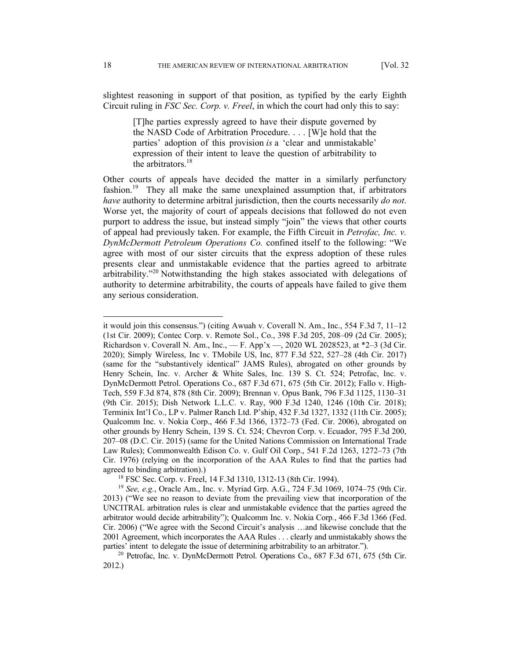slightest reasoning in support of that position, as typified by the early Eighth Circuit ruling in *FSC Sec. Corp. v. Freel*, in which the court had only this to say:

[T]he parties expressly agreed to have their dispute governed by the NASD Code of Arbitration Procedure. . . . [W]e hold that the parties' adoption of this provision *is* a 'clear and unmistakable' expression of their intent to leave the question of arbitrability to the arbitrators. $18$ 

Other courts of appeals have decided the matter in a similarly perfunctory fashion.<sup>19</sup> They all make the same unexplained assumption that, if arbitrators *have* authority to determine arbitral jurisdiction, then the courts necessarily *do not*. Worse yet, the majority of court of appeals decisions that followed do not even purport to address the issue, but instead simply "join" the views that other courts of appeal had previously taken. For example, the Fifth Circuit in *Petrofac, Inc. v. DynMcDermott Petroleum Operations Co.* confined itself to the following: "We agree with most of our sister circuits that the express adoption of these rules presents clear and unmistakable evidence that the parties agreed to arbitrate arbitrability. $120$ <sup>20</sup> Notwithstanding the high stakes associated with delegations of authority to determine arbitrability, the courts of appeals have failed to give them any serious consideration.

it would join this consensus.") (citing Awuah v. Coverall N. Am., Inc., 554 F.3d 7, 11–12 (1st Cir. 2009); Contec Corp. v. Remote Sol., Co., 398 F.3d 205, 208–09 (2d Cir. 2005); Richardson v. Coverall N. Am., Inc., — F. App'x —, 2020 WL 2028523, at \*2–3 (3d Cir. 2020); Simply Wireless, Inc v. TMobile US, Inc, 877 F.3d 522, 527–28 (4th Cir. 2017) (same for the "substantively identical" JAMS Rules), abrogated on other grounds by Henry Schein, Inc. v. Archer & White Sales, Inc. 139 S. Ct. 524; Petrofac, Inc. v. DynMcDermott Petrol. Operations Co., 687 F.3d 671, 675 (5th Cir. 2012); Fallo v. High-Tech, 559 F.3d 874, 878 (8th Cir. 2009); Brennan v. Opus Bank, 796 F.3d 1125, 1130–31 (9th Cir. 2015); Dish Network L.L.C. v. Ray, 900 F.3d 1240, 1246 (10th Cir. 2018); Terminix Int'l Co., LP v. Palmer Ranch Ltd. P'ship, 432 F.3d 1327, 1332 (11th Cir. 2005); Qualcomm Inc. v. Nokia Corp., 466 F.3d 1366, 1372–73 (Fed. Cir. 2006), abrogated on other grounds by Henry Schein, 139 S. Ct. 524; Chevron Corp. v. Ecuador, 795 F.3d 200, 207–08 (D.C. Cir. 2015) (same for the United Nations Commission on International Trade Law Rules); Commonwealth Edison Co. v. Gulf Oil Corp., 541 F.2d 1263, 1272–73 (7th Cir. 1976) (relying on the incorporation of the AAA Rules to find that the parties had agreed to binding arbitration).)<br><sup>18</sup> FSC Sec. Corp. v. Freel, 14 F.3d 1310, 1312-13 (8th Cir. 1994).

<sup>19</sup> *See, e.g.*, Oracle Am., Inc. v. Myriad Grp. A.G., 724 F.3d 1069, 1074–75 (9th Cir. 2013) ("We see no reason to deviate from the prevailing view that incorporation of the UNCITRAL arbitration rules is clear and unmistakable evidence that the parties agreed the arbitrator would decide arbitrability"); Qualcomm Inc. v. Nokia Corp*.*, 466 F.3d 1366 (Fed. Cir. 2006) ("We agree with the Second Circuit's analysis …and likewise conclude that the 2001 Agreement, which incorporates the AAA Rules . . . clearly and unmistakably shows the parties' intent to delegate the issue of determining arbitrability to an arbitrator.").<br><sup>20</sup> Petrofac, Inc. v. DynMcDermott Petrol. Operations Co., 687 F.3d 671, 675 (5th Cir.

<sup>2012.)</sup>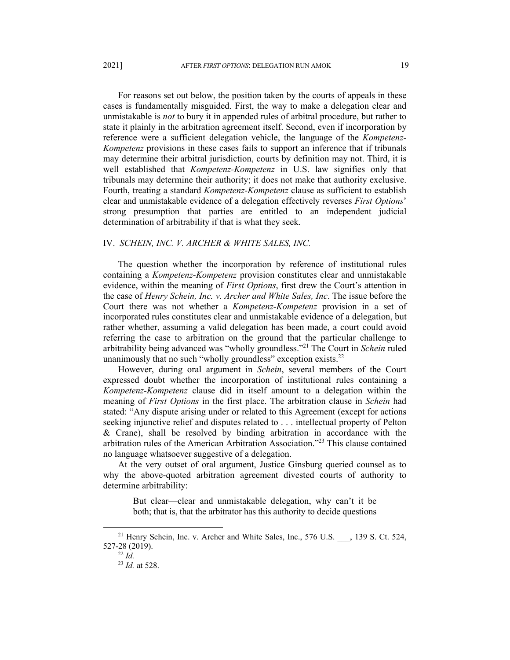For reasons set out below, the position taken by the courts of appeals in these cases is fundamentally misguided. First, the way to make a delegation clear and unmistakable is *not* to bury it in appended rules of arbitral procedure, but rather to state it plainly in the arbitration agreement itself. Second, even if incorporation by reference were a sufficient delegation vehicle, the language of the *Kompetenz-Kompetenz* provisions in these cases fails to support an inference that if tribunals may determine their arbitral jurisdiction, courts by definition may not. Third, it is well established that *Kompetenz-Kompetenz* in U.S. law signifies only that tribunals may determine their authority; it does not make that authority exclusive. Fourth, treating a standard *Kompetenz-Kompetenz* clause as sufficient to establish clear and unmistakable evidence of a delegation effectively reverses *First Options*' strong presumption that parties are entitled to an independent judicial determination of arbitrability if that is what they seek.

### IV. *SCHEIN, INC. V. ARCHER & WHITE SALES, INC.*

The question whether the incorporation by reference of institutional rules containing a *Kompetenz-Kompetenz* provision constitutes clear and unmistakable evidence, within the meaning of *First Options*, first drew the Court's attention in the case of *Henry Schein, Inc. v. Archer and White Sales, Inc*. The issue before the Court there was not whether a *Kompetenz-Kompetenz* provision in a set of incorporated rules constitutes clear and unmistakable evidence of a delegation, but rather whether, assuming a valid delegation has been made, a court could avoid referring the case to arbitration on the ground that the particular challenge to arbitrability being advanced was "wholly groundless."21 The Court in *Schein* ruled unanimously that no such "wholly groundless" exception exists.<sup>22</sup>

However, during oral argument in *Schein*, several members of the Court expressed doubt whether the incorporation of institutional rules containing a *Kompetenz-Kompetenz* clause did in itself amount to a delegation within the meaning of *First Options* in the first place. The arbitration clause in *Schein* had stated: "Any dispute arising under or related to this Agreement (except for actions seeking injunctive relief and disputes related to . . . intellectual property of Pelton & Crane), shall be resolved by binding arbitration in accordance with the arbitration rules of the American Arbitration Association."23 This clause contained no language whatsoever suggestive of a delegation.

At the very outset of oral argument, Justice Ginsburg queried counsel as to why the above-quoted arbitration agreement divested courts of authority to determine arbitrability:

But clear—clear and unmistakable delegation, why can't it be both; that is, that the arbitrator has this authority to decide questions

<sup>&</sup>lt;sup>21</sup> Henry Schein, Inc. v. Archer and White Sales, Inc., 576 U.S. \_\_\_, 139 S. Ct. 524, 527-28 (2019). 22 *Id.*

<sup>23</sup> *Id.* at 528.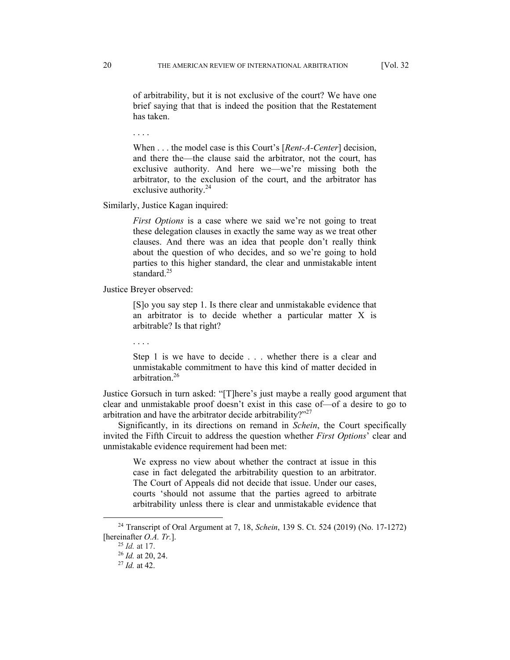of arbitrability, but it is not exclusive of the court? We have one brief saying that that is indeed the position that the Restatement has taken.

. . . .

When . . . the model case is this Court's [*Rent-A-Center*] decision, and there the—the clause said the arbitrator, not the court, has exclusive authority. And here we—we're missing both the arbitrator, to the exclusion of the court, and the arbitrator has exclusive authority.<sup>24</sup>

Similarly, Justice Kagan inquired:

*First Options* is a case where we said we're not going to treat these delegation clauses in exactly the same way as we treat other clauses. And there was an idea that people don't really think about the question of who decides, and so we're going to hold parties to this higher standard, the clear and unmistakable intent standard.<sup>25</sup>

Justice Breyer observed:

[S]o you say step 1. Is there clear and unmistakable evidence that an arbitrator is to decide whether a particular matter X is arbitrable? Is that right?

. . . .

Step 1 is we have to decide . . . whether there is a clear and unmistakable commitment to have this kind of matter decided in arbitration.26

Justice Gorsuch in turn asked: "[T]here's just maybe a really good argument that clear and unmistakable proof doesn't exist in this case of—of a desire to go to arbitration and have the arbitrator decide arbitrability?"<sup>27</sup>

Significantly, in its directions on remand in *Schein*, the Court specifically invited the Fifth Circuit to address the question whether *First Options*' clear and unmistakable evidence requirement had been met:

We express no view about whether the contract at issue in this case in fact delegated the arbitrability question to an arbitrator. The Court of Appeals did not decide that issue. Under our cases, courts 'should not assume that the parties agreed to arbitrate arbitrability unless there is clear and unmistakable evidence that

<sup>24</sup> Transcript of Oral Argument at 7, 18, *Schein*, 139 S. Ct. 524 (2019) (No. 17-1272) [hereinafter *O.A. Tr.*]. 25 *Id.* at 17. 26 *Id.* at 20, 24. 27 *Id.* at 42.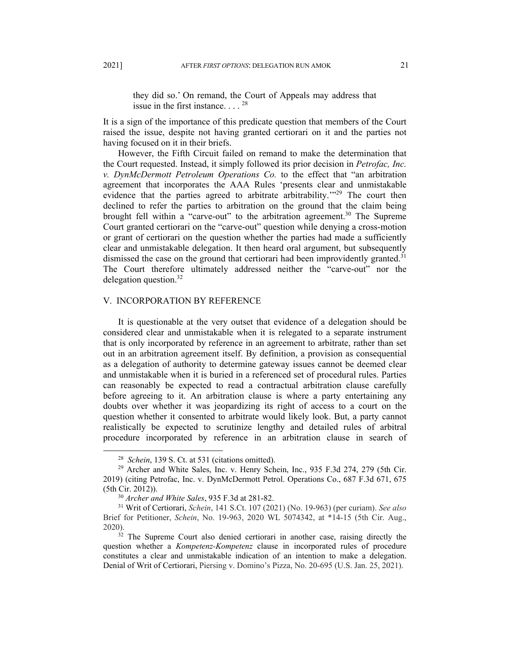they did so.' On remand, the Court of Appeals may address that issue in the first instance. . . . 28

It is a sign of the importance of this predicate question that members of the Court raised the issue, despite not having granted certiorari on it and the parties not having focused on it in their briefs.

However, the Fifth Circuit failed on remand to make the determination that the Court requested. Instead, it simply followed its prior decision in *Petrofac, Inc. v. DynMcDermott Petroleum Operations Co.* to the effect that "an arbitration agreement that incorporates the AAA Rules 'presents clear and unmistakable evidence that the parties agreed to arbitrate arbitrability.<sup>'"29</sup> The court then declined to refer the parties to arbitration on the ground that the claim being brought fell within a "carve-out" to the arbitration agreement.<sup>30</sup> The Supreme Court granted certiorari on the "carve-out" question while denying a cross-motion or grant of certiorari on the question whether the parties had made a sufficiently clear and unmistakable delegation. It then heard oral argument, but subsequently dismissed the case on the ground that certiorari had been improvidently granted.<sup>31</sup> The Court therefore ultimately addressed neither the "carve-out" nor the delegation question.<sup>32</sup>

## V. INCORPORATION BY REFERENCE

It is questionable at the very outset that evidence of a delegation should be considered clear and unmistakable when it is relegated to a separate instrument that is only incorporated by reference in an agreement to arbitrate, rather than set out in an arbitration agreement itself. By definition, a provision as consequential as a delegation of authority to determine gateway issues cannot be deemed clear and unmistakable when it is buried in a referenced set of procedural rules. Parties can reasonably be expected to read a contractual arbitration clause carefully before agreeing to it. An arbitration clause is where a party entertaining any doubts over whether it was jeopardizing its right of access to a court on the question whether it consented to arbitrate would likely look. But, a party cannot realistically be expected to scrutinize lengthy and detailed rules of arbitral procedure incorporated by reference in an arbitration clause in search of

<sup>&</sup>lt;sup>28</sup> Schein, 139 S. Ct. at 531 (citations omitted).<br><sup>29</sup> Archer and White Sales, Inc. v. Henry Schein, Inc., 935 F.3d 274, 279 (5th Cir. 2019) (citing Petrofac, Inc. v. DynMcDermott Petrol. Operations Co., 687 F.3d 671, 675 (5th Cir. 2012)). 30 *Archer and White Sales*, 935 F.3d at 281-82. 31 Writ of Certiorari, *Schein*, 141 S.Ct. 107 (2021) (No. 19-963) (per curiam). *See also* 

Brief for Petitioner, *Schein*, No. 19-963, 2020 WL 5074342, at \*14-15 (5th Cir. Aug., 2020).

 $32$  The Supreme Court also denied certiorari in another case, raising directly the question whether a *Kompetenz-Kompetenz* clause in incorporated rules of procedure constitutes a clear and unmistakable indication of an intention to make a delegation. Denial of Writ of Certiorari, Piersing v. Domino's Pizza, No. 20-695 (U.S. Jan. 25, 2021).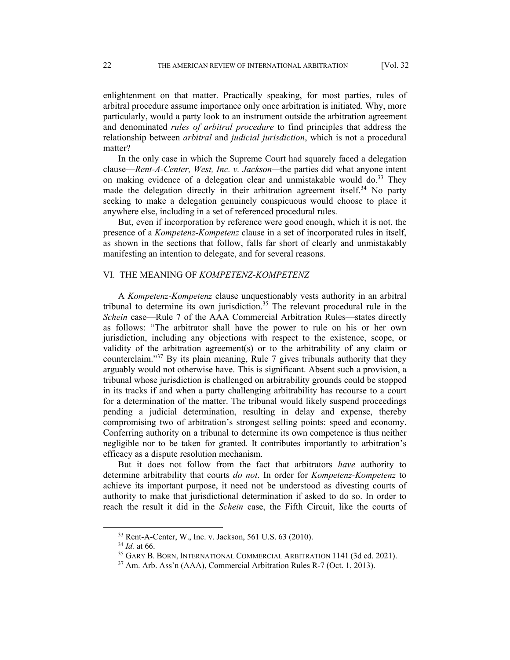enlightenment on that matter. Practically speaking, for most parties, rules of arbitral procedure assume importance only once arbitration is initiated. Why, more particularly, would a party look to an instrument outside the arbitration agreement and denominated *rules of arbitral procedure* to find principles that address the relationship between *arbitral* and *judicial jurisdiction*, which is not a procedural matter?

In the only case in which the Supreme Court had squarely faced a delegation clause—*Rent-A-Center, West, Inc. v. Jackson—*the parties did what anyone intent on making evidence of a delegation clear and unmistakable would do. $33$  They made the delegation directly in their arbitration agreement itself.<sup>34</sup> No party seeking to make a delegation genuinely conspicuous would choose to place it anywhere else, including in a set of referenced procedural rules.

But, even if incorporation by reference were good enough, which it is not, the presence of a *Kompetenz-Kompetenz* clause in a set of incorporated rules in itself, as shown in the sections that follow, falls far short of clearly and unmistakably manifesting an intention to delegate, and for several reasons.

# VI. THE MEANING OF *KOMPETENZ-KOMPETENZ*

A *Kompetenz-Kompetenz* clause unquestionably vests authority in an arbitral tribunal to determine its own jurisdiction.<sup>35</sup> The relevant procedural rule in the *Schein* case—Rule 7 of the AAA Commercial Arbitration Rules—states directly as follows: "The arbitrator shall have the power to rule on his or her own jurisdiction, including any objections with respect to the existence, scope, or validity of the arbitration agreement(s) or to the arbitrability of any claim or counterclaim."37 By its plain meaning, Rule 7 gives tribunals authority that they arguably would not otherwise have. This is significant. Absent such a provision, a tribunal whose jurisdiction is challenged on arbitrability grounds could be stopped in its tracks if and when a party challenging arbitrability has recourse to a court for a determination of the matter. The tribunal would likely suspend proceedings pending a judicial determination, resulting in delay and expense, thereby compromising two of arbitration's strongest selling points: speed and economy. Conferring authority on a tribunal to determine its own competence is thus neither negligible nor to be taken for granted. It contributes importantly to arbitration's efficacy as a dispute resolution mechanism.

But it does not follow from the fact that arbitrators *have* authority to determine arbitrability that courts *do not*. In order for *Kompetenz-Kompetenz* to achieve its important purpose, it need not be understood as divesting courts of authority to make that jurisdictional determination if asked to do so. In order to reach the result it did in the *Schein* case, the Fifth Circuit, like the courts of

<sup>33</sup> Rent-A-Center, W., Inc. v. Jackson, 561 U.S. 63 (2010).

<sup>&</sup>lt;sup>34</sup> *Id.* at 66.<br><sup>35</sup> GARY B. BORN, INTERNATIONAL COMMERCIAL ARBITRATION 1141 (3d ed. 2021).<br><sup>37</sup> Am. Arb. Ass'n (AAA), Commercial Arbitration Rules R-7 (Oct. 1, 2013).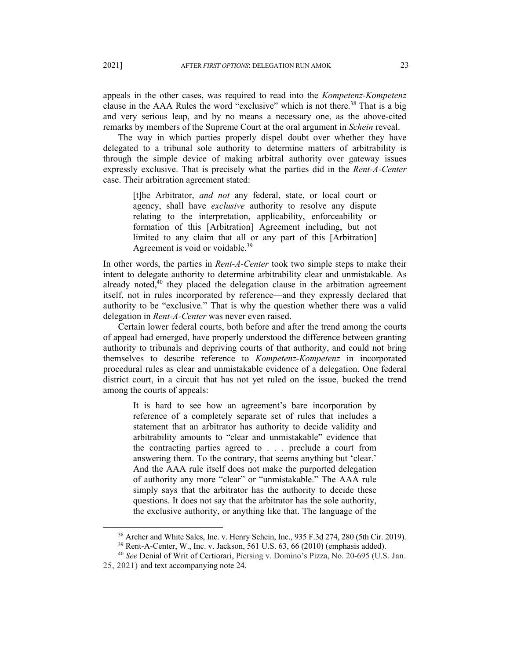appeals in the other cases, was required to read into the *Kompetenz-Kompetenz*  clause in the AAA Rules the word "exclusive" which is not there.<sup>38</sup> That is a big and very serious leap, and by no means a necessary one, as the above-cited remarks by members of the Supreme Court at the oral argument in *Schein* reveal.

The way in which parties properly dispel doubt over whether they have delegated to a tribunal sole authority to determine matters of arbitrability is through the simple device of making arbitral authority over gateway issues expressly exclusive. That is precisely what the parties did in the *Rent-A-Center* case. Their arbitration agreement stated:

[t]he Arbitrator, *and not* any federal, state, or local court or agency, shall have *exclusive* authority to resolve any dispute relating to the interpretation, applicability, enforceability or formation of this [Arbitration] Agreement including, but not limited to any claim that all or any part of this [Arbitration] Agreement is void or voidable.<sup>39</sup>

In other words, the parties in *Rent-A-Center* took two simple steps to make their intent to delegate authority to determine arbitrability clear and unmistakable. As already noted, $40$  they placed the delegation clause in the arbitration agreement itself, not in rules incorporated by reference—and they expressly declared that authority to be "exclusive." That is why the question whether there was a valid delegation in *Rent-A-Center* was never even raised.

Certain lower federal courts, both before and after the trend among the courts of appeal had emerged, have properly understood the difference between granting authority to tribunals and depriving courts of that authority, and could not bring themselves to describe reference to *Kompetenz-Kompetenz* in incorporated procedural rules as clear and unmistakable evidence of a delegation. One federal district court, in a circuit that has not yet ruled on the issue, bucked the trend among the courts of appeals:

It is hard to see how an agreement's bare incorporation by reference of a completely separate set of rules that includes a statement that an arbitrator has authority to decide validity and arbitrability amounts to "clear and unmistakable" evidence that the contracting parties agreed to . . . preclude a court from answering them. To the contrary, that seems anything but 'clear.' And the AAA rule itself does not make the purported delegation of authority any more "clear" or "unmistakable." The AAA rule simply says that the arbitrator has the authority to decide these questions. It does not say that the arbitrator has the sole authority, the exclusive authority, or anything like that. The language of the

<sup>38</sup> Archer and White Sales, Inc. v. Henry Schein, Inc., 935 F.3d 274, 280 (5th Cir. 2019).

<sup>39</sup> Rent-A-Center, W., Inc. v. Jackson, 561 U.S. 63, 66 (2010) (emphasis added).

<sup>40</sup> *See* Denial of Writ of Certiorari, Piersing v. Domino's Pizza, No. 20-695 (U.S. Jan.

<sup>25, 2021)</sup> and text accompanying note 24.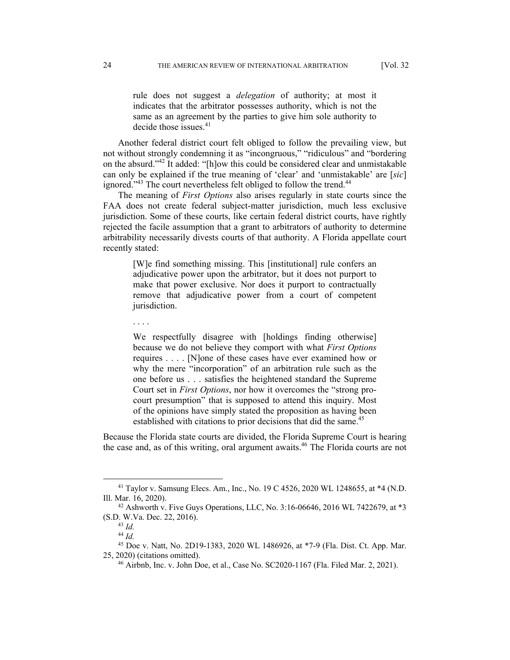rule does not suggest a *delegation* of authority; at most it indicates that the arbitrator possesses authority, which is not the same as an agreement by the parties to give him sole authority to decide those issues. $41$ 

Another federal district court felt obliged to follow the prevailing view, but not without strongly condemning it as "incongruous," "ridiculous" and "bordering on the absurd."42 It added: "[h]ow this could be considered clear and unmistakable can only be explained if the true meaning of 'clear' and 'unmistakable' are [*sic*] ignored."<sup>43</sup> The court nevertheless felt obliged to follow the trend.<sup>44</sup>

The meaning of *First Options* also arises regularly in state courts since the FAA does not create federal subject-matter jurisdiction, much less exclusive jurisdiction. Some of these courts, like certain federal district courts, have rightly rejected the facile assumption that a grant to arbitrators of authority to determine arbitrability necessarily divests courts of that authority. A Florida appellate court recently stated:

[W]e find something missing. This [institutional] rule confers an adjudicative power upon the arbitrator, but it does not purport to make that power exclusive. Nor does it purport to contractually remove that adjudicative power from a court of competent jurisdiction.

. . . .

We respectfully disagree with [holdings finding otherwise] because we do not believe they comport with what *First Options* requires . . . . [N]one of these cases have ever examined how or why the mere "incorporation" of an arbitration rule such as the one before us . . . satisfies the heightened standard the Supreme Court set in *First Options*, nor how it overcomes the "strong procourt presumption" that is supposed to attend this inquiry. Most of the opinions have simply stated the proposition as having been established with citations to prior decisions that did the same.<sup>45</sup>

Because the Florida state courts are divided, the Florida Supreme Court is hearing the case and, as of this writing, oral argument awaits.<sup>46</sup> The Florida courts are not

<sup>41</sup> Taylor v. Samsung Elecs. Am., Inc., No. 19 C 4526, 2020 WL 1248655, at \*4 (N.D. Ill. Mar. 16, 2020).<br><sup>42</sup> Ashworth v. Five Guys Operations, LLC, No. 3:16-06646, 2016 WL 7422679, at \*3

<sup>(</sup>S.D. W.Va. Dec. 22, 2016). 43 *Id.*

<sup>44</sup> *Id.*

<sup>45</sup> Doe v. Natt, No. 2D19-1383, 2020 WL 1486926, at \*7-9 (Fla. Dist. Ct. App. Mar. 25, 2020) (citations omitted). 46 Airbnb, Inc. v. John Doe, et al., Case No. SC2020-1167 (Fla. Filed Mar. 2, 2021).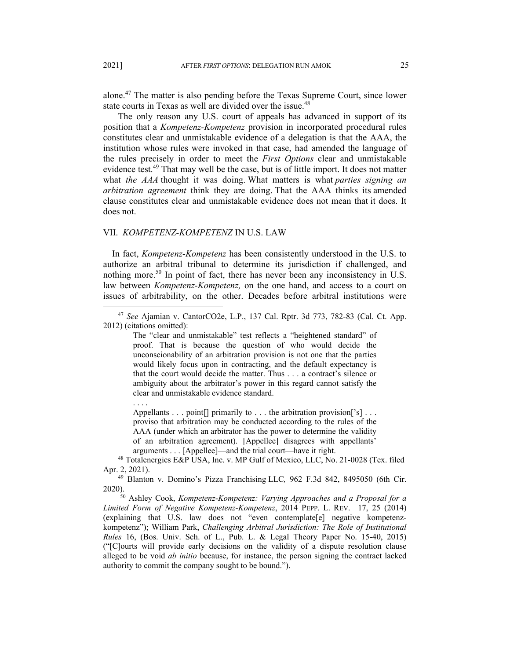alone.47 The matter is also pending before the Texas Supreme Court, since lower state courts in Texas as well are divided over the issue.<sup>48</sup>

The only reason any U.S. court of appeals has advanced in support of its position that a *Kompetenz-Kompetenz* provision in incorporated procedural rules constitutes clear and unmistakable evidence of a delegation is that the AAA, the institution whose rules were invoked in that case, had amended the language of the rules precisely in order to meet the *First Options* clear and unmistakable evidence test.<sup>49</sup> That may well be the case, but is of little import. It does not matter what *the AAA* thought it was doing. What matters is what *parties signing an arbitration agreement* think they are doing. That the AAA thinks its amended clause constitutes clear and unmistakable evidence does not mean that it does. It does not.

# VII. *KOMPETENZ-KOMPETENZ* IN U.S. LAW

. . . .

In fact, *Kompetenz-Kompetenz* has been consistently understood in the U.S. to authorize an arbitral tribunal to determine its jurisdiction if challenged, and nothing more.<sup>50</sup> In point of fact, there has never been any inconsistency in U.S. law between *Kompetenz-Kompetenz,* on the one hand, and access to a court on issues of arbitrability, on the other. Decades before arbitral institutions were

The "clear and unmistakable" test reflects a "heightened standard" of proof. That is because the question of who would decide the unconscionability of an arbitration provision is not one that the parties would likely focus upon in contracting, and the default expectancy is that the court would decide the matter. Thus . . . a contract's silence or ambiguity about the arbitrator's power in this regard cannot satisfy the clear and unmistakable evidence standard.

Appellants . . . point [] primarily to . . . the arbitration provision ['s] . . . proviso that arbitration may be conducted according to the rules of the AAA (under which an arbitrator has the power to determine the validity of an arbitration agreement). [Appellee] disagrees with appellants' arguments . . . [Appellee]—and the trial court—have it right.<br><sup>48</sup> Totalenergies E&P USA, Inc. v. MP Gulf of Mexico, LLC, No. 21-0028 (Tex. filed

Apr. 2, 2021). 49 Blanton v. Domino's Pizza Franchising LLC*,* 962 F.3d 842, 8495050 (6th Cir.

<sup>47</sup> *See* Ajamian v. CantorCO2e, L.P., 137 Cal. Rptr. 3d 773, 782-83 (Cal. Ct. App. 2012) (citations omitted):

<sup>2020). 50</sup> Ashley Cook, *Kompetenz-Kompetenz: Varying Approaches and a Proposal for a* 

*Limited Form of Negative Kompetenz-Kompetenz*, 2014 PEPP. L. REV. 17, 25 (2014) (explaining that U.S. law does not "even contemplate[e] negative kompetenzkompetenz"); William Park, *Challenging Arbitral Jurisdiction: The Role of Institutional Rules* 16, (Bos. Univ. Sch. of L., Pub. L. & Legal Theory Paper No. 15-40, 2015) ("[C]ourts will provide early decisions on the validity of a dispute resolution clause alleged to be void *ab initio* because, for instance, the person signing the contract lacked authority to commit the company sought to be bound.").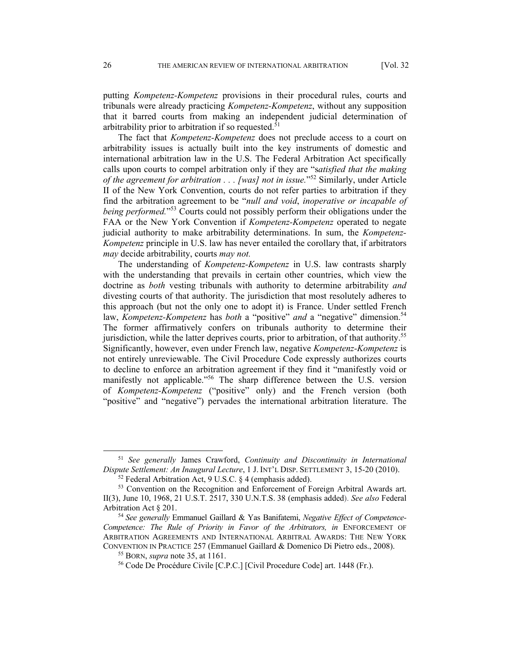putting *Kompetenz-Kompetenz* provisions in their procedural rules, courts and tribunals were already practicing *Kompetenz-Kompetenz*, without any supposition that it barred courts from making an independent judicial determination of arbitrability prior to arbitration if so requested.<sup>51</sup>

The fact that *Kompetenz-Kompetenz* does not preclude access to a court on arbitrability issues is actually built into the key instruments of domestic and international arbitration law in the U.S. The Federal Arbitration Act specifically calls upon courts to compel arbitration only if they are "s*atisfied that the making of the agreement for arbitration . . . [was] not in issue.*"52 Similarly, under Article II of the New York Convention, courts do not refer parties to arbitration if they find the arbitration agreement to be "*null and void*, *inoperative or incapable of being performed.*"53 Courts could not possibly perform their obligations under the FAA or the New York Convention if *Kompetenz-Kompetenz* operated to negate judicial authority to make arbitrability determinations. In sum, the *Kompetenz-Kompetenz* principle in U.S. law has never entailed the corollary that, if arbitrators *may* decide arbitrability, courts *may not.*

The understanding of *Kompetenz-Kompetenz* in U.S. law contrasts sharply with the understanding that prevails in certain other countries, which view the doctrine as *both* vesting tribunals with authority to determine arbitrability *and* divesting courts of that authority. The jurisdiction that most resolutely adheres to this approach (but not the only one to adopt it) is France. Under settled French law, *Kompetenz-Kompetenz* has *both* a "positive" *and* a "negative" dimension.<sup>54</sup> The former affirmatively confers on tribunals authority to determine their jurisdiction, while the latter deprives courts, prior to arbitration, of that authority.55 Significantly, however, even under French law, negative *Kompetenz-Kompetenz* is not entirely unreviewable. The Civil Procedure Code expressly authorizes courts to decline to enforce an arbitration agreement if they find it "manifestly void or manifestly not applicable."56 The sharp difference between the U.S. version of *Kompetenz-Kompetenz* ("positive" only) and the French version (both "positive" and "negative") pervades the international arbitration literature. The

<sup>51</sup> *See generally* James Crawford, *Continuity and Discontinuity in International Dispute Settlement: An Inaugural Lecture*, 1 J. INT'L DISP. SETTLEMENT 3, 15-20 (2010).<br><sup>52</sup> Federal Arbitration Act, 9 U.S.C. § 4 (emphasis added).

<sup>&</sup>lt;sup>53</sup> Convention on the Recognition and Enforcement of Foreign Arbitral Awards art. II(3), June 10, 1968, 21 U.S.T. 2517, 330 U.N.T.S. 38 (emphasis added). *See also* Federal Arbitration Act § 201.<br><sup>54</sup> *See generally* Emmanuel Gaillard & Yas Banifatemi, *Negative Effect of Competence*-

*Competence: The Rule of Priority in Favor of the Arbitrators, in* ENFORCEMENT OF ARBITRATION AGREEMENTS AND INTERNATIONAL ARBITRAL AWARDS: THE NEW YORK CONVENTION IN PRACTICE 257 (Emmanuel Gaillard & Domenico Di Pietro eds., 2008). 55 BORN, *supra* note 35, at 1161. 56 Code De Procédure Civile [C.P.C.] [Civil Procedure Code] art. 1448 (Fr.).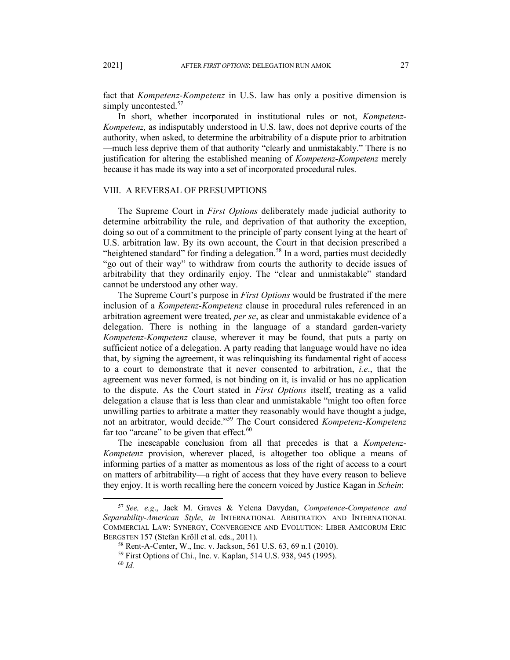fact that *Kompetenz-Kompetenz* in U.S. law has only a positive dimension is simply uncontested.<sup>57</sup>

In short, whether incorporated in institutional rules or not, *Kompetenz-Kompetenz,* as indisputably understood in U.S. law, does not deprive courts of the authority, when asked, to determine the arbitrability of a dispute prior to arbitration —much less deprive them of that authority "clearly and unmistakably." There is no justification for altering the established meaning of *Kompetenz-Kompetenz* merely because it has made its way into a set of incorporated procedural rules.

# VIII. A REVERSAL OF PRESUMPTIONS

The Supreme Court in *First Options* deliberately made judicial authority to determine arbitrability the rule, and deprivation of that authority the exception, doing so out of a commitment to the principle of party consent lying at the heart of U.S. arbitration law. By its own account, the Court in that decision prescribed a "heightened standard" for finding a delegation.<sup>58</sup> In a word, parties must decidedly "go out of their way" to withdraw from courts the authority to decide issues of arbitrability that they ordinarily enjoy. The "clear and unmistakable" standard cannot be understood any other way.

The Supreme Court's purpose in *First Options* would be frustrated if the mere inclusion of a *Kompetenz-Kompetenz* clause in procedural rules referenced in an arbitration agreement were treated, *per se*, as clear and unmistakable evidence of a delegation. There is nothing in the language of a standard garden-variety *Kompetenz-Kompetenz* clause, wherever it may be found, that puts a party on sufficient notice of a delegation. A party reading that language would have no idea that, by signing the agreement, it was relinquishing its fundamental right of access to a court to demonstrate that it never consented to arbitration, *i.e*., that the agreement was never formed, is not binding on it, is invalid or has no application to the dispute. As the Court stated in *First Options* itself, treating as a valid delegation a clause that is less than clear and unmistakable "might too often force unwilling parties to arbitrate a matter they reasonably would have thought a judge, not an arbitrator, would decide."59 The Court considered *Kompetenz-Kompetenz* far too "arcane" to be given that effect. $60$ 

The inescapable conclusion from all that precedes is that a *Kompetenz-Kompetenz* provision, wherever placed, is altogether too oblique a means of informing parties of a matter as momentous as loss of the right of access to a court on matters of arbitrability—a right of access that they have every reason to believe they enjoy. It is worth recalling here the concern voiced by Justice Kagan in *Schein*:

<sup>57</sup> *See, e.g*., Jack M. Graves & Yelena Davydan, *Competence-Competence and Separability-American Style*, *in* INTERNATIONAL ARBITRATION AND INTERNATIONAL COMMERCIAL LAW: SYNERGY, CONVERGENCE AND EVOLUTION: LIBER AMICORUM ERIC BERGSTEN 157 (Stefan Kröll et al. eds., 2011).<br><sup>58</sup> Rent-A-Center, W., Inc. v. Jackson, 561 U.S. 63, 69 n.1 (2010).

<sup>59</sup> First Options of Chi., Inc. v. Kaplan, 514 U.S. 938, 945 (1995).

<sup>60</sup> *Id.*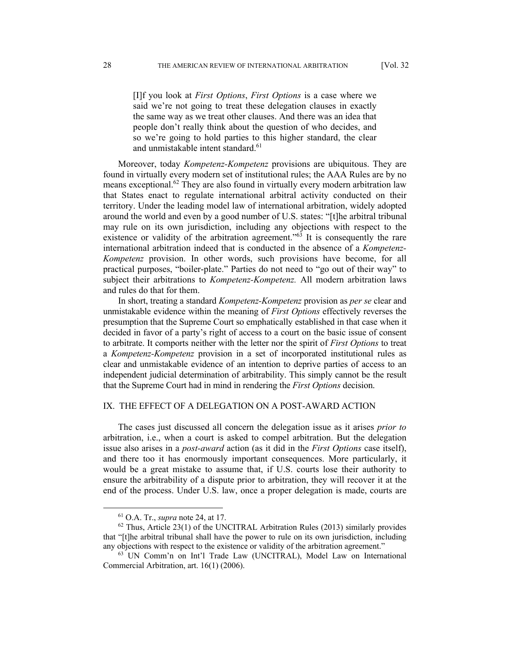[I]f you look at *First Options*, *First Options* is a case where we said we're not going to treat these delegation clauses in exactly the same way as we treat other clauses. And there was an idea that people don't really think about the question of who decides, and so we're going to hold parties to this higher standard, the clear and unmistakable intent standard.<sup>61</sup>

Moreover, today *Kompetenz-Kompetenz* provisions are ubiquitous. They are found in virtually every modern set of institutional rules; the AAA Rules are by no means exceptional.<sup>62</sup> They are also found in virtually every modern arbitration law that States enact to regulate international arbitral activity conducted on their territory. Under the leading model law of international arbitration, widely adopted around the world and even by a good number of U.S. states: "[t]he arbitral tribunal may rule on its own jurisdiction, including any objections with respect to the existence or validity of the arbitration agreement."<sup>63</sup> It is consequently the rare international arbitration indeed that is conducted in the absence of a *Kompetenz-Kompetenz* provision. In other words, such provisions have become, for all practical purposes, "boiler-plate." Parties do not need to "go out of their way" to subject their arbitrations to *Kompetenz-Kompetenz.* All modern arbitration laws and rules do that for them.

In short, treating a standard *Kompetenz-Kompetenz* provision as *per se* clear and unmistakable evidence within the meaning of *First Options* effectively reverses the presumption that the Supreme Court so emphatically established in that case when it decided in favor of a party's right of access to a court on the basic issue of consent to arbitrate. It comports neither with the letter nor the spirit of *First Options* to treat a *Kompetenz-Kompetenz* provision in a set of incorporated institutional rules as clear and unmistakable evidence of an intention to deprive parties of access to an independent judicial determination of arbitrability. This simply cannot be the result that the Supreme Court had in mind in rendering the *First Options* decision.

#### IX. THE EFFECT OF A DELEGATION ON A POST-AWARD ACTION

The cases just discussed all concern the delegation issue as it arises *prior to* arbitration, i.e., when a court is asked to compel arbitration. But the delegation issue also arises in a *post-award* action (as it did in the *First Options* case itself), and there too it has enormously important consequences. More particularly, it would be a great mistake to assume that, if U.S. courts lose their authority to ensure the arbitrability of a dispute prior to arbitration, they will recover it at the end of the process. Under U.S. law, once a proper delegation is made, courts are

<sup>&</sup>lt;sup>61</sup> O.A. Tr., *supra* note 24, at 17.<br><sup>62</sup> Thus, Article 23(1) of the UNCITRAL Arbitration Rules (2013) similarly provides that "[t]he arbitral tribunal shall have the power to rule on its own jurisdiction, including any objections with respect to the existence or validity of the arbitration agreement." 63 UN Comm'n on Int'l Trade Law (UNCITRAL), Model Law on International

Commercial Arbitration, art. 16(1) (2006).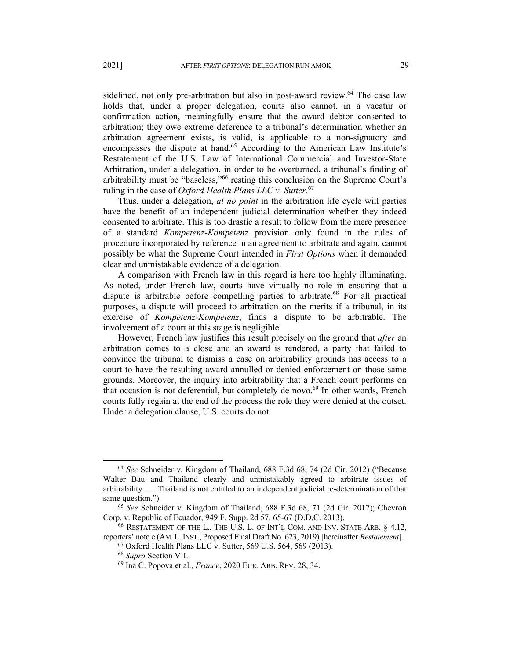sidelined, not only pre-arbitration but also in post-award review.<sup>64</sup> The case law holds that, under a proper delegation, courts also cannot, in a vacatur or confirmation action, meaningfully ensure that the award debtor consented to arbitration; they owe extreme deference to a tribunal's determination whether an arbitration agreement exists, is valid, is applicable to a non-signatory and encompasses the dispute at hand.<sup>65</sup> According to the American Law Institute's Restatement of the U.S. Law of International Commercial and Investor-State Arbitration, under a delegation, in order to be overturned, a tribunal's finding of arbitrability must be "baseless,"66 resting this conclusion on the Supreme Court's ruling in the case of *Oxford Health Plans LLC v. Sutter*. 67

Thus, under a delegation, *at no point* in the arbitration life cycle will parties have the benefit of an independent judicial determination whether they indeed consented to arbitrate. This is too drastic a result to follow from the mere presence of a standard *Kompetenz-Kompetenz* provision only found in the rules of procedure incorporated by reference in an agreement to arbitrate and again, cannot possibly be what the Supreme Court intended in *First Options* when it demanded clear and unmistakable evidence of a delegation.

A comparison with French law in this regard is here too highly illuminating. As noted, under French law, courts have virtually no role in ensuring that a dispute is arbitrable before compelling parties to arbitrate.<sup>68</sup> For all practical purposes, a dispute will proceed to arbitration on the merits if a tribunal, in its exercise of *Kompetenz-Kompetenz*, finds a dispute to be arbitrable. The involvement of a court at this stage is negligible.

However, French law justifies this result precisely on the ground that *after* an arbitration comes to a close and an award is rendered, a party that failed to convince the tribunal to dismiss a case on arbitrability grounds has access to a court to have the resulting award annulled or denied enforcement on those same grounds. Moreover, the inquiry into arbitrability that a French court performs on that occasion is not deferential, but completely de novo.<sup>69</sup> In other words, French courts fully regain at the end of the process the role they were denied at the outset. Under a delegation clause, U.S. courts do not.

<sup>64</sup> *See* Schneider v. Kingdom of Thailand, 688 F.3d 68, 74 (2d Cir. 2012) ("Because Walter Bau and Thailand clearly and unmistakably agreed to arbitrate issues of arbitrability . . . Thailand is not entitled to an independent judicial re-determination of that same question.")<br><sup>65</sup> *See* Schneider v. Kingdom of Thailand, 688 F.3d 68, 71 (2d Cir. 2012); Chevron

Corp. v. Republic of Ecuador, 949 F. Supp. 2d 57, 65-67 (D.D.C. 2013).<br><sup>66</sup> RESTATEMENT OF THE L., THE U.S. L. OF INT'L COM. AND INV.-STATE ARB. § 4.12,

reporters' note e (AM. L.INST., Proposed Final Draft No. 623, 2019) [hereinafter *Restatement*]. 67 Oxford Health Plans LLC v. Sutter, 569 U.S. 564, 569 (2013).

<sup>&</sup>lt;sup>69</sup> Ina C. Popova et al., *France*, 2020 EUR. ARB. REV. 28, 34.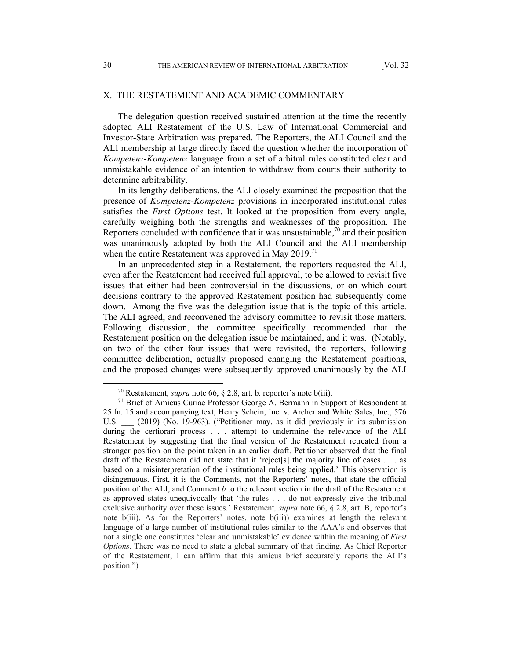# X. THE RESTATEMENT AND ACADEMIC COMMENTARY

The delegation question received sustained attention at the time the recently adopted ALI Restatement of the U.S. Law of International Commercial and Investor-State Arbitration was prepared. The Reporters, the ALI Council and the ALI membership at large directly faced the question whether the incorporation of *Kompetenz-Kompetenz* language from a set of arbitral rules constituted clear and unmistakable evidence of an intention to withdraw from courts their authority to determine arbitrability.

In its lengthy deliberations, the ALI closely examined the proposition that the presence of *Kompetenz-Kompetenz* provisions in incorporated institutional rules satisfies the *First Options* test. It looked at the proposition from every angle, carefully weighing both the strengths and weaknesses of the proposition. The Reporters concluded with confidence that it was unsustainable,  $\frac{70}{3}$  and their position was unanimously adopted by both the ALI Council and the ALI membership when the entire Restatement was approved in May 2019. $^{71}$ 

In an unprecedented step in a Restatement, the reporters requested the ALI, even after the Restatement had received full approval, to be allowed to revisit five issues that either had been controversial in the discussions, or on which court decisions contrary to the approved Restatement position had subsequently come down. Among the five was the delegation issue that is the topic of this article. The ALI agreed, and reconvened the advisory committee to revisit those matters. Following discussion, the committee specifically recommended that the Restatement position on the delegation issue be maintained, and it was. (Notably, on two of the other four issues that were revisited, the reporters, following committee deliberation, actually proposed changing the Restatement positions, and the proposed changes were subsequently approved unanimously by the ALI

<sup>70</sup> Restatement, *supra* note 66, § 2.8, art. b*,* reporter's note b(iii). 71 Brief of Amicus Curiae Professor George A. Bermann in Support of Respondent at 25 fn. 15 and accompanying text, Henry Schein, Inc. v. Archer and White Sales, Inc., 576 U.S. (2019) (No. 19-963). ("Petitioner may, as it did previously in its submission during the certiorari process . . . attempt to undermine the relevance of the ALI Restatement by suggesting that the final version of the Restatement retreated from a stronger position on the point taken in an earlier draft. Petitioner observed that the final draft of the Restatement did not state that it 'reject[s] the majority line of cases . . . as based on a misinterpretation of the institutional rules being applied.' This observation is disingenuous. First, it is the Comments, not the Reporters' notes, that state the official position of the ALI, and Comment *b* to the relevant section in the draft of the Restatement as approved states unequivocally that 'the rules . . . do not expressly give the tribunal exclusive authority over these issues.' Restatement*, supra* note 66, § 2.8, art. B, reporter's note b(iii). As for the Reporters' notes, note b(iii)) examines at length the relevant language of a large number of institutional rules similar to the AAA's and observes that not a single one constitutes 'clear and unmistakable' evidence within the meaning of *First Options*. There was no need to state a global summary of that finding. As Chief Reporter of the Restatement, I can affirm that this amicus brief accurately reports the ALI's position.")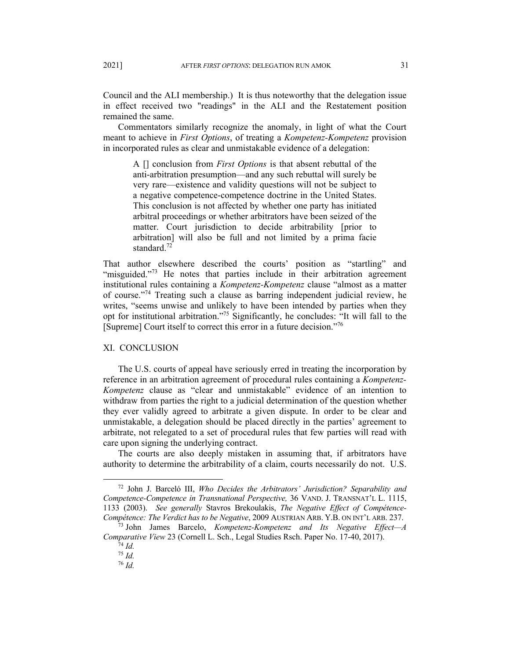Council and the ALI membership.) It is thus noteworthy that the delegation issue in effect received two "readings" in the ALI and the Restatement position remained the same.

Commentators similarly recognize the anomaly, in light of what the Court meant to achieve in *First Options*, of treating a *Kompetenz-Kompetenz* provision in incorporated rules as clear and unmistakable evidence of a delegation:

A [] conclusion from *First Options* is that absent rebuttal of the anti-arbitration presumption—and any such rebuttal will surely be very rare—existence and validity questions will not be subject to a negative competence-competence doctrine in the United States. This conclusion is not affected by whether one party has initiated arbitral proceedings or whether arbitrators have been seized of the matter. Court jurisdiction to decide arbitrability [prior to arbitration] will also be full and not limited by a prima facie standard.<sup>72</sup>

That author elsewhere described the courts' position as "startling" and "misguided."<sup>73</sup> He notes that parties include in their arbitration agreement institutional rules containing a *Kompetenz-Kompetenz* clause "almost as a matter of course."74 Treating such a clause as barring independent judicial review, he writes, "seems unwise and unlikely to have been intended by parties when they opt for institutional arbitration."75 Significantly, he concludes: "It will fall to the [Supreme] Court itself to correct this error in a future decision."76

# XI. CONCLUSION

The U.S. courts of appeal have seriously erred in treating the incorporation by reference in an arbitration agreement of procedural rules containing a *Kompetenz-Kompetenz* clause as "clear and unmistakable" evidence of an intention to withdraw from parties the right to a judicial determination of the question whether they ever validly agreed to arbitrate a given dispute. In order to be clear and unmistakable, a delegation should be placed directly in the parties' agreement to arbitrate, not relegated to a set of procedural rules that few parties will read with care upon signing the underlying contract.

The courts are also deeply mistaken in assuming that, if arbitrators have authority to determine the arbitrability of a claim, courts necessarily do not. U.S.

<sup>72</sup> John J. Barceló III, *Who Decides the Arbitrators' Jurisdiction? Separability and Competence-Competence in Transnational Perspective,* 36 VAND. J. TRANSNAT'L L. 1115, 1133 (2003). *See generally* Stavros Brekoulakis, *The Negative Effect of Compétence-Compétence: The Verdict has to be Negative*, 2009 AUSTRIAN ARB. Y.B. ON INT'L ARB. 237. 73 John James Barcelo, *Kompetenz-Kompetenz and Its Negative Effect—A* 

*Comparative View* 23 (Cornell L. Sch., Legal Studies Rsch. Paper No. 17-40, 2017). 74 *Id.*

<sup>75</sup> *Id.*

<sup>76</sup> *Id.*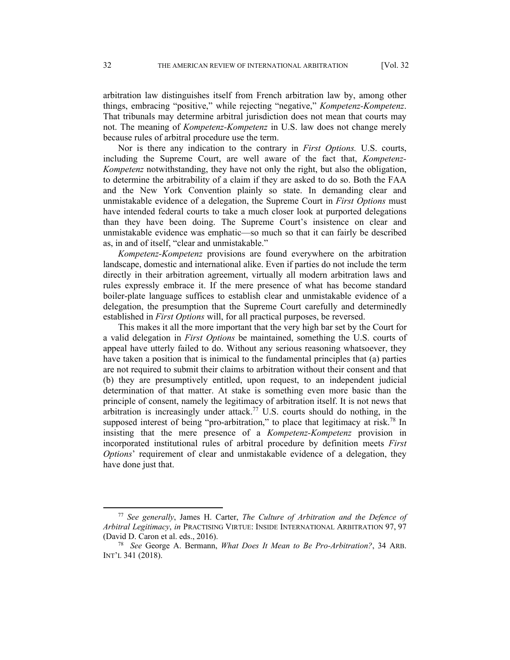arbitration law distinguishes itself from French arbitration law by, among other things, embracing "positive," while rejecting "negative," *Kompetenz-Kompetenz*. That tribunals may determine arbitral jurisdiction does not mean that courts may not. The meaning of *Kompetenz-Kompetenz* in U.S. law does not change merely because rules of arbitral procedure use the term.

Nor is there any indication to the contrary in *First Options.* U.S. courts, including the Supreme Court, are well aware of the fact that, *Kompetenz-Kompetenz* notwithstanding, they have not only the right, but also the obligation, to determine the arbitrability of a claim if they are asked to do so. Both the FAA and the New York Convention plainly so state. In demanding clear and unmistakable evidence of a delegation, the Supreme Court in *First Options* must have intended federal courts to take a much closer look at purported delegations than they have been doing. The Supreme Court's insistence on clear and unmistakable evidence was emphatic—so much so that it can fairly be described as, in and of itself, "clear and unmistakable."

*Kompetenz-Kompetenz* provisions are found everywhere on the arbitration landscape, domestic and international alike. Even if parties do not include the term directly in their arbitration agreement, virtually all modern arbitration laws and rules expressly embrace it. If the mere presence of what has become standard boiler-plate language suffices to establish clear and unmistakable evidence of a delegation, the presumption that the Supreme Court carefully and determinedly established in *First Options* will, for all practical purposes, be reversed.

This makes it all the more important that the very high bar set by the Court for a valid delegation in *First Options* be maintained, something the U.S. courts of appeal have utterly failed to do. Without any serious reasoning whatsoever, they have taken a position that is inimical to the fundamental principles that (a) parties are not required to submit their claims to arbitration without their consent and that (b) they are presumptively entitled, upon request, to an independent judicial determination of that matter. At stake is something even more basic than the principle of consent, namely the legitimacy of arbitration itself. It is not news that arbitration is increasingly under attack.<sup>77</sup> U.S. courts should do nothing, in the supposed interest of being "pro-arbitration," to place that legitimacy at risk.<sup>78</sup> In insisting that the mere presence of a *Kompetenz-Kompetenz* provision in incorporated institutional rules of arbitral procedure by definition meets *First Options*' requirement of clear and unmistakable evidence of a delegation, they have done just that.

<sup>77</sup> *See generally*, James H. Carter, *The Culture of Arbitration and the Defence of Arbitral Legitimacy*, *in* PRACTISING VIRTUE: INSIDE INTERNATIONAL ARBITRATION 97, 97 (David D. Caron et al. eds., 2016). 78 *See* George A. Bermann, *What Does It Mean to Be Pro-Arbitration?*, 34 ARB.

INT'L 341 (2018).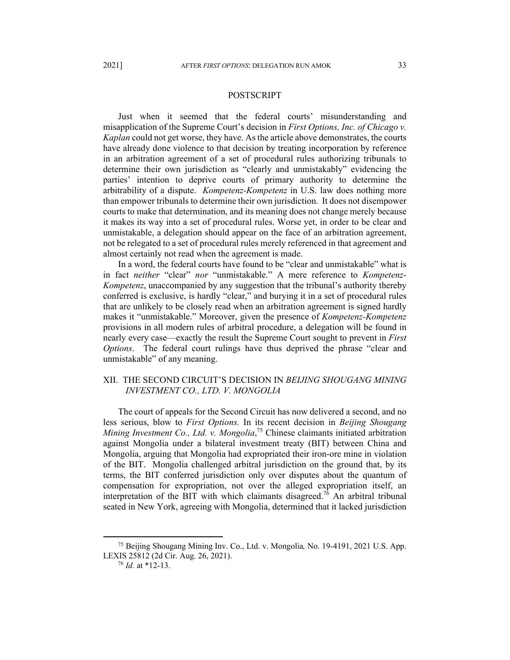## POSTSCRIPT

Just when it seemed that the federal courts' misunderstanding and misapplication of the Supreme Court's decision in *First Options, Inc. of Chicago v. Kaplan* could not get worse, they have. As the article above demonstrates, the courts have already done violence to that decision by treating incorporation by reference in an arbitration agreement of a set of procedural rules authorizing tribunals to determine their own jurisdiction as "clearly and unmistakably" evidencing the parties' intention to deprive courts of primary authority to determine the arbitrability of a dispute. *Kompetenz-Kompetenz* in U.S. law does nothing more than empower tribunals to determine their own jurisdiction. It does not disempower courts to make that determination, and its meaning does not change merely because it makes its way into a set of procedural rules. Worse yet, in order to be clear and unmistakable, a delegation should appear on the face of an arbitration agreement, not be relegated to a set of procedural rules merely referenced in that agreement and almost certainly not read when the agreement is made.

In a word, the federal courts have found to be "clear and unmistakable" what is in fact *neither* "clear" *nor* "unmistakable." A mere reference to *Kompetenz-Kompetenz*, unaccompanied by any suggestion that the tribunal's authority thereby conferred is exclusive, is hardly "clear," and burying it in a set of procedural rules that are unlikely to be closely read when an arbitration agreement is signed hardly makes it "unmistakable." Moreover, given the presence of *Kompetenz-Kompetenz* provisions in all modern rules of arbitral procedure, a delegation will be found in nearly every case—exactly the result the Supreme Court sought to prevent in *First Options*. The federal court rulings have thus deprived the phrase "clear and unmistakable" of any meaning.

# XII. THE SECOND CIRCUIT'S DECISION IN *BEIJING SHOUGANG MINING INVESTMENT CO., LTD. V. MONGOLIA*

The court of appeals for the Second Circuit has now delivered a second, and no less serious, blow to *First Options.* In its recent decision in *Beijing Shougang Mining Investment Co., Ltd. v. Mongolia*, 75 Chinese claimants initiated arbitration against Mongolia under a bilateral investment treaty (BIT) between China and Mongolia, arguing that Mongolia had expropriated their iron-ore mine in violation of the BIT. Mongolia challenged arbitral jurisdiction on the ground that, by its terms, the BIT conferred jurisdiction only over disputes about the quantum of compensation for expropriation, not over the alleged expropriation itself, an interpretation of the BIT with which claimants disagreed.<sup>76</sup> An arbitral tribunal seated in New York, agreeing with Mongolia, determined that it lacked jurisdiction

<sup>75</sup> Beijing Shougang Mining Inv. Co., Ltd. v. Mongolia*,* No. 19-4191, 2021 U.S. App. LEXIS 25812 (2d Cir. Aug. 26, 2021). 76 *Id.* at \*12-13.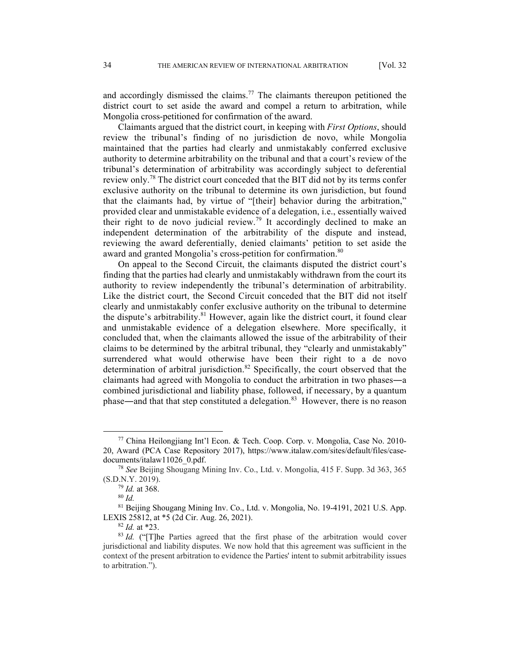and accordingly dismissed the claims.<sup>77</sup> The claimants thereupon petitioned the district court to set aside the award and compel a return to arbitration, while Mongolia cross-petitioned for confirmation of the award.

Claimants argued that the district court, in keeping with *First Options*, should review the tribunal's finding of no jurisdiction de novo, while Mongolia maintained that the parties had clearly and unmistakably conferred exclusive authority to determine arbitrability on the tribunal and that a court's review of the tribunal's determination of arbitrability was accordingly subject to deferential review only.78 The district court conceded that the BIT did not by its terms confer exclusive authority on the tribunal to determine its own jurisdiction, but found that the claimants had, by virtue of "[their] behavior during the arbitration," provided clear and unmistakable evidence of a delegation, i.e., essentially waived their right to de novo judicial review.<sup>79</sup> It accordingly declined to make an independent determination of the arbitrability of the dispute and instead, reviewing the award deferentially, denied claimants' petition to set aside the award and granted Mongolia's cross-petition for confirmation.<sup>80</sup>

On appeal to the Second Circuit, the claimants disputed the district court's finding that the parties had clearly and unmistakably withdrawn from the court its authority to review independently the tribunal's determination of arbitrability. Like the district court, the Second Circuit conceded that the BIT did not itself clearly and unmistakably confer exclusive authority on the tribunal to determine the dispute's arbitrability.<sup>81</sup> However, again like the district court, it found clear and unmistakable evidence of a delegation elsewhere. More specifically, it concluded that, when the claimants allowed the issue of the arbitrability of their claims to be determined by the arbitral tribunal, they "clearly and unmistakably" surrendered what would otherwise have been their right to a de novo determination of arbitral jurisdiction.<sup>82</sup> Specifically, the court observed that the claimants had agreed with Mongolia to conduct the arbitration in two phases―a combined jurisdictional and liability phase, followed, if necessary, by a quantum phase—and that that step constituted a delegation.<sup>83</sup> However, there is no reason

<sup>77</sup> China Heilongjiang Int'l Econ. & Tech. Coop. Corp. v. Mongolia, Case No. 2010- 20, Award (PCA Case Repository 2017), https://www.italaw.com/sites/default/files/casedocuments/italaw11026\_0.pdf. 78 *See* Beijing Shougang Mining Inv. Co., Ltd. v. Mongolia, 415 F. Supp. 3d 363, 365

<sup>(</sup>S.D.N.Y. 2019).

<sup>&</sup>lt;sup>79</sup> *Id.* at 368.<br><sup>80</sup> *Id.* 81 *Id.* 81 Beijing Shougang Mining Inv. Co., Ltd. v. Mongolia, No. 19-4191, 2021 U.S. App. LEXIS 25812, at \*5 (2d Cir. Aug. 26, 2021).<br><sup>82</sup> *Id.* at \*23.<br><sup>83</sup> *Id.* ("[T]he Parties agreed that the first phase of the arbitration would cover

jurisdictional and liability disputes. We now hold that this agreement was sufficient in the context of the present arbitration to evidence the Parties' intent to submit arbitrability issues to arbitration.").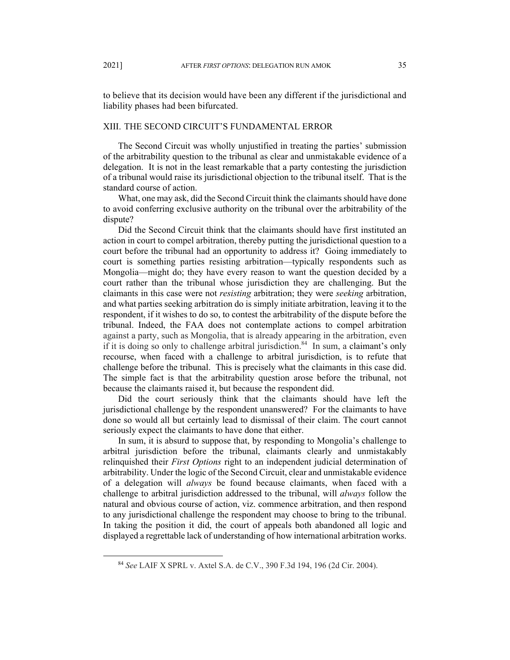to believe that its decision would have been any different if the jurisdictional and liability phases had been bifurcated.

### XIII. THE SECOND CIRCUIT'S FUNDAMENTAL ERROR

The Second Circuit was wholly unjustified in treating the parties' submission of the arbitrability question to the tribunal as clear and unmistakable evidence of a delegation. It is not in the least remarkable that a party contesting the jurisdiction of a tribunal would raise its jurisdictional objection to the tribunal itself. That is the standard course of action.

What, one may ask, did the Second Circuit think the claimants should have done to avoid conferring exclusive authority on the tribunal over the arbitrability of the dispute?

Did the Second Circuit think that the claimants should have first instituted an action in court to compel arbitration, thereby putting the jurisdictional question to a court before the tribunal had an opportunity to address it? Going immediately to court is something parties resisting arbitration—typically respondents such as Mongolia—might do; they have every reason to want the question decided by a court rather than the tribunal whose jurisdiction they are challenging. But the claimants in this case were not *resisting* arbitration; they were *seeking* arbitration, and what parties seeking arbitration do is simply initiate arbitration, leaving it to the respondent, if it wishes to do so, to contest the arbitrability of the dispute before the tribunal. Indeed, the FAA does not contemplate actions to compel arbitration against a party, such as Mongolia, that is already appearing in the arbitration, even if it is doing so only to challenge arbitral jurisdiction.<sup>84</sup> In sum, a claimant's only recourse, when faced with a challenge to arbitral jurisdiction, is to refute that challenge before the tribunal. This is precisely what the claimants in this case did. The simple fact is that the arbitrability question arose before the tribunal, not because the claimants raised it, but because the respondent did.

Did the court seriously think that the claimants should have left the jurisdictional challenge by the respondent unanswered? For the claimants to have done so would all but certainly lead to dismissal of their claim. The court cannot seriously expect the claimants to have done that either.

In sum, it is absurd to suppose that, by responding to Mongolia's challenge to arbitral jurisdiction before the tribunal, claimants clearly and unmistakably relinquished their *First Options* right to an independent judicial determination of arbitrability. Under the logic of the Second Circuit, clear and unmistakable evidence of a delegation will *always* be found because claimants, when faced with a challenge to arbitral jurisdiction addressed to the tribunal, will *always* follow the natural and obvious course of action, viz. commence arbitration, and then respond to any jurisdictional challenge the respondent may choose to bring to the tribunal. In taking the position it did, the court of appeals both abandoned all logic and displayed a regrettable lack of understanding of how international arbitration works.

<sup>84</sup> *See* LAIF X SPRL v. Axtel S.A. de C.V., 390 F.3d 194, 196 (2d Cir. 2004).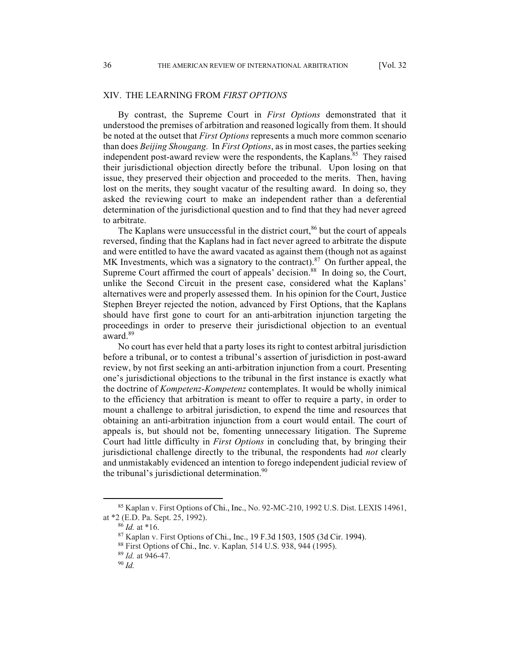# XIV. THE LEARNING FROM *FIRST OPTIONS*

By contrast, the Supreme Court in *First Options* demonstrated that it understood the premises of arbitration and reasoned logically from them. It should be noted at the outset that *First Options* represents a much more common scenario than does *Beijing Shougang.* In *First Options*, as in most cases, the parties seeking independent post-award review were the respondents, the Kaplans.<sup>85</sup> They raised their jurisdictional objection directly before the tribunal. Upon losing on that issue, they preserved their objection and proceeded to the merits. Then, having lost on the merits, they sought vacatur of the resulting award. In doing so, they asked the reviewing court to make an independent rather than a deferential determination of the jurisdictional question and to find that they had never agreed to arbitrate.

The Kaplans were unsuccessful in the district court,  $86$  but the court of appeals reversed, finding that the Kaplans had in fact never agreed to arbitrate the dispute and were entitled to have the award vacated as against them (though not as against MK Investments, which was a signatory to the contract). $87$  On further appeal, the Supreme Court affirmed the court of appeals' decision.<sup>88</sup> In doing so, the Court, unlike the Second Circuit in the present case, considered what the Kaplans' alternatives were and properly assessed them. In his opinion for the Court, Justice Stephen Breyer rejected the notion, advanced by First Options, that the Kaplans should have first gone to court for an anti-arbitration injunction targeting the proceedings in order to preserve their jurisdictional objection to an eventual award.<sup>89</sup>

No court has ever held that a party loses its right to contest arbitral jurisdiction before a tribunal, or to contest a tribunal's assertion of jurisdiction in post-award review, by not first seeking an anti-arbitration injunction from a court. Presenting one's jurisdictional objections to the tribunal in the first instance is exactly what the doctrine of *Kompetenz-Kompetenz* contemplates. It would be wholly inimical to the efficiency that arbitration is meant to offer to require a party, in order to mount a challenge to arbitral jurisdiction, to expend the time and resources that obtaining an anti-arbitration injunction from a court would entail. The court of appeals is, but should not be, fomenting unnecessary litigation. The Supreme Court had little difficulty in *First Options* in concluding that, by bringing their jurisdictional challenge directly to the tribunal, the respondents had *not* clearly and unmistakably evidenced an intention to forego independent judicial review of the tribunal's jurisdictional determination. $90$ 

<sup>85</sup> Kaplan v. First Options of Chi., Inc., No. 92-MC-210, 1992 U.S. Dist. LEXIS 14961, at \*2 (E.D. Pa. Sept. 25, 1992).

<sup>86</sup> *Id.* at \*16.

<sup>87</sup> Kaplan v. First Options of Chi., Inc., 19 F.3d 1503, 1505 (3d Cir. 1994). 88 First Options of Chi., Inc. v. Kaplan*,* 514 U.S. 938, 944 (1995).

<sup>89</sup> *Id.* at 946-47.

<sup>90</sup> *Id.*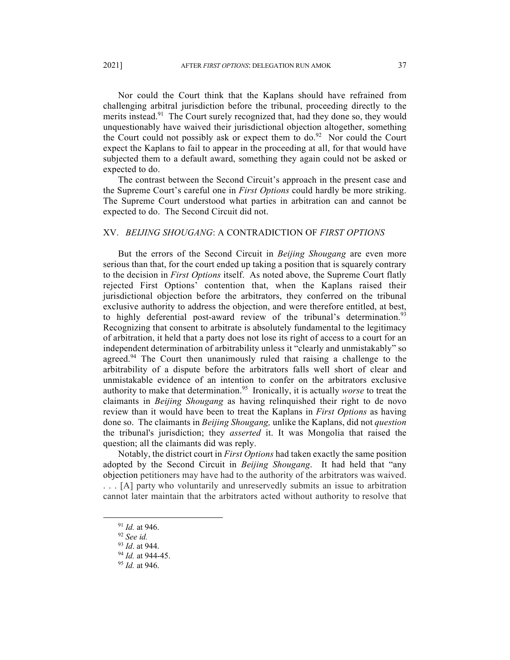Nor could the Court think that the Kaplans should have refrained from challenging arbitral jurisdiction before the tribunal, proceeding directly to the merits instead.<sup>91</sup> The Court surely recognized that, had they done so, they would unquestionably have waived their jurisdictional objection altogether, something the Court could not possibly ask or expect them to do.<sup>92</sup> Nor could the Court expect the Kaplans to fail to appear in the proceeding at all, for that would have subjected them to a default award, something they again could not be asked or expected to do.

The contrast between the Second Circuit's approach in the present case and the Supreme Court's careful one in *First Options* could hardly be more striking. The Supreme Court understood what parties in arbitration can and cannot be expected to do. The Second Circuit did not.

## XV. *BEIJING SHOUGANG*: A CONTRADICTION OF *FIRST OPTIONS*

But the errors of the Second Circuit in *Beijing Shougang* are even more serious than that, for the court ended up taking a position that is squarely contrary to the decision in *First Options* itself. As noted above, the Supreme Court flatly rejected First Options' contention that, when the Kaplans raised their jurisdictional objection before the arbitrators, they conferred on the tribunal exclusive authority to address the objection, and were therefore entitled, at best, to highly deferential post-award review of the tribunal's determination.<sup>93</sup> Recognizing that consent to arbitrate is absolutely fundamental to the legitimacy of arbitration, it held that a party does not lose its right of access to a court for an independent determination of arbitrability unless it "clearly and unmistakably" so agreed.<sup>94</sup> The Court then unanimously ruled that raising a challenge to the arbitrability of a dispute before the arbitrators falls well short of clear and unmistakable evidence of an intention to confer on the arbitrators exclusive authority to make that determination.95 Ironically, it is actually *worse* to treat the claimants in *Beijing Shougang* as having relinquished their right to de novo review than it would have been to treat the Kaplans in *First Options* as having done so. The claimants in *Beijing Shougang,* unlike the Kaplans, did not *question* the tribunal's jurisdiction; they *asserted* it. It was Mongolia that raised the question; all the claimants did was reply.

Notably, the district court in *First Options* had taken exactly the same position adopted by the Second Circuit in *Beijing Shougang*. It had held that "any objection petitioners may have had to the authority of the arbitrators was waived. . . . [A] party who voluntarily and unreservedly submits an issue to arbitration cannot later maintain that the arbitrators acted without authority to resolve that

<sup>91</sup> *Id.* at 946. 92 *See id.*

<sup>93</sup> *Id*. at 944. 94 *Id.* at 944-45. 95 *Id.* at 946.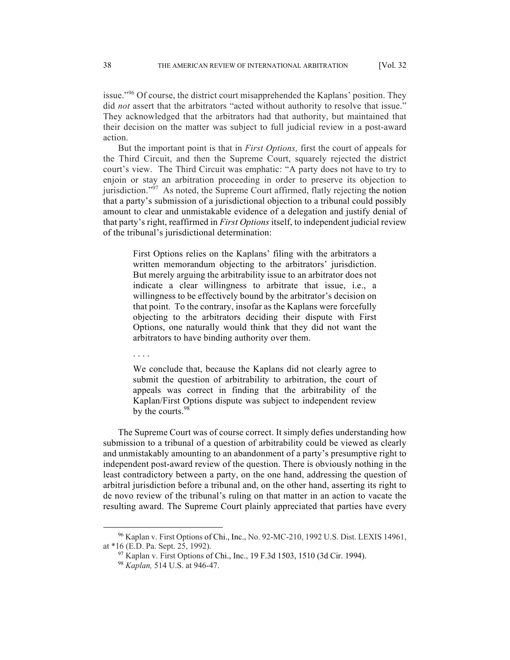issue."<sup>96</sup> Of course, the district court misapprehended the Kaplans' position. They did *not* assert that the arbitrators "acted without authority to resolve that issue." They acknowledged that the arbitrators had that authority, but maintained that their decision on the matter was subject to full judicial review in a post-award action.

But the important point is that in *First Options,* first the court of appeals for the Third Circuit, and then the Supreme Court, squarely rejected the district court's view. The Third Circuit was emphatic: "A party does not have to try to enjoin or stay an arbitration proceeding in order to preserve its objection to jurisdiction."97 As noted, the Supreme Court affirmed, flatly rejecting the notion that a party's submission of a jurisdictional objection to a tribunal could possibly amount to clear and unmistakable evidence of a delegation and justify denial of that party's right, reaffirmed in *First Options* itself, to independent judicial review of the tribunal's jurisdictional determination:

First Options relies on the Kaplans' filing with the arbitrators a written memorandum objecting to the arbitrators' jurisdiction. But merely arguing the arbitrability issue to an arbitrator does not indicate a clear willingness to arbitrate that issue, i.e., a willingness to be effectively bound by the arbitrator's decision on that point. To the contrary, insofar as the Kaplans were forcefully objecting to the arbitrators deciding their dispute with First Options, one naturally would think that they did not want the arbitrators to have binding authority over them.

. . . .

We conclude that, because the Kaplans did not clearly agree to submit the question of arbitrability to arbitration, the court of appeals was correct in finding that the arbitrability of the Kaplan/First Options dispute was subject to independent review by the courts.<sup>98</sup>

The Supreme Court was of course correct. It simply defies understanding how submission to a tribunal of a question of arbitrability could be viewed as clearly and unmistakably amounting to an abandonment of a party's presumptive right to independent post-award review of the question. There is obviously nothing in the least contradictory between a party, on the one hand, addressing the question of arbitral jurisdiction before a tribunal and, on the other hand, asserting its right to de novo review of the tribunal's ruling on that matter in an action to vacate the resulting award. The Supreme Court plainly appreciated that parties have every

<sup>96</sup> Kaplan v. First Options of Chi., Inc., No. 92-MC-210, 1992 U.S. Dist. LEXIS 14961, at \*16 (E.D. Pa. Sept. 25, 1992).

<sup>97</sup> Kaplan v. First Options of Chi., Inc., 19 F.3d 1503, 1510 (3d Cir. 1994). 98 *Kaplan,* 514 U.S. at 946-47.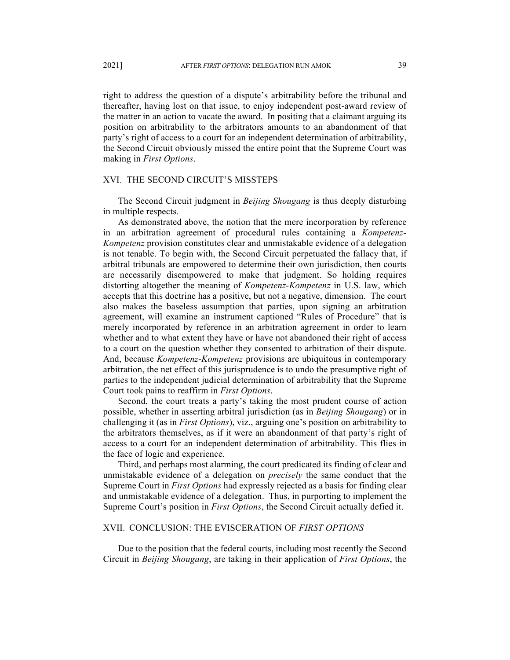right to address the question of a dispute's arbitrability before the tribunal and thereafter, having lost on that issue, to enjoy independent post-award review of the matter in an action to vacate the award. In positing that a claimant arguing its position on arbitrability to the arbitrators amounts to an abandonment of that party's right of access to a court for an independent determination of arbitrability, the Second Circuit obviously missed the entire point that the Supreme Court was making in *First Options*.

## XVI. THE SECOND CIRCUIT'S MISSTEPS

The Second Circuit judgment in *Beijing Shougang* is thus deeply disturbing in multiple respects.

As demonstrated above, the notion that the mere incorporation by reference in an arbitration agreement of procedural rules containing a *Kompetenz-Kompetenz* provision constitutes clear and unmistakable evidence of a delegation is not tenable. To begin with, the Second Circuit perpetuated the fallacy that, if arbitral tribunals are empowered to determine their own jurisdiction, then courts are necessarily disempowered to make that judgment. So holding requires distorting altogether the meaning of *Kompetenz-Kompetenz* in U.S. law, which accepts that this doctrine has a positive, but not a negative, dimension. The court also makes the baseless assumption that parties, upon signing an arbitration agreement, will examine an instrument captioned "Rules of Procedure" that is merely incorporated by reference in an arbitration agreement in order to learn whether and to what extent they have or have not abandoned their right of access to a court on the question whether they consented to arbitration of their dispute. And, because *Kompetenz-Kompetenz* provisions are ubiquitous in contemporary arbitration, the net effect of this jurisprudence is to undo the presumptive right of parties to the independent judicial determination of arbitrability that the Supreme Court took pains to reaffirm in *First Options*.

Second, the court treats a party's taking the most prudent course of action possible, whether in asserting arbitral jurisdiction (as in *Beijing Shougang*) or in challenging it (as in *First Options*), viz., arguing one's position on arbitrability to the arbitrators themselves, as if it were an abandonment of that party's right of access to a court for an independent determination of arbitrability. This flies in the face of logic and experience.

Third, and perhaps most alarming, the court predicated its finding of clear and unmistakable evidence of a delegation on *precisely* the same conduct that the Supreme Court in *First Options* had expressly rejected as a basis for finding clear and unmistakable evidence of a delegation. Thus, in purporting to implement the Supreme Court's position in *First Options*, the Second Circuit actually defied it.

### XVII. CONCLUSION: THE EVISCERATION OF *FIRST OPTIONS*

Due to the position that the federal courts, including most recently the Second Circuit in *Beijing Shougang*, are taking in their application of *First Options*, the